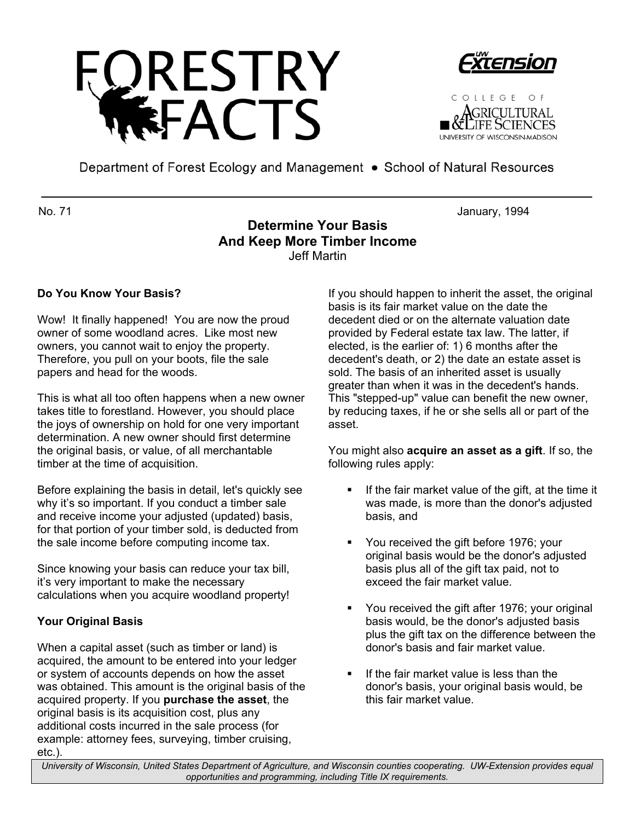





Department of Forest Ecology and Management • School of Natural Resources

No. 71 January, 1994

# **Determine Your Basis And Keep More Timber Income** Jeff Martin

## **Do You Know Your Basis?**

Wow! It finally happened! You are now the proud owner of some woodland acres. Like most new owners, you cannot wait to enjoy the property. Therefore, you pull on your boots, file the sale papers and head for the woods.

This is what all too often happens when a new owner takes title to forestland. However, you should place the joys of ownership on hold for one very important determination. A new owner should first determine the original basis, or value, of all merchantable timber at the time of acquisition.

Before explaining the basis in detail, let's quickly see why it's so important. If you conduct a timber sale and receive income your adjusted (updated) basis, for that portion of your timber sold, is deducted from the sale income before computing income tax.

Since knowing your basis can reduce your tax bill, it's very important to make the necessary calculations when you acquire woodland property!

## **Your Original Basis**

When a capital asset (such as timber or land) is acquired, the amount to be entered into your ledger or system of accounts depends on how the asset was obtained. This amount is the original basis of the acquired property. If you **purchase the asset**, the original basis is its acquisition cost, plus any additional costs incurred in the sale process (for example: attorney fees, surveying, timber cruising, etc.).

If you should happen to inherit the asset, the original basis is its fair market value on the date the decedent died or on the alternate valuation date provided by Federal estate tax law. The latter, if elected, is the earlier of: 1) 6 months after the decedent's death, or 2) the date an estate asset is sold. The basis of an inherited asset is usually greater than when it was in the decedent's hands. This "stepped-up" value can benefit the new owner, by reducing taxes, if he or she sells all or part of the asset.

You might also **acquire an asset as a gift**. If so, the following rules apply:

- If the fair market value of the gift, at the time it was made, is more than the donor's adjusted basis, and
- You received the gift before 1976; your original basis would be the donor's adjusted basis plus all of the gift tax paid, not to exceed the fair market value.
- **You received the gift after 1976; your original** basis would, be the donor's adjusted basis plus the gift tax on the difference between the donor's basis and fair market value.
- If the fair market value is less than the donor's basis, your original basis would, be this fair market value.

*University of Wisconsin, United States Department of Agriculture, and Wisconsin counties cooperating. UW-Extension provides equal opportunities and programming, including Title IX requirements.*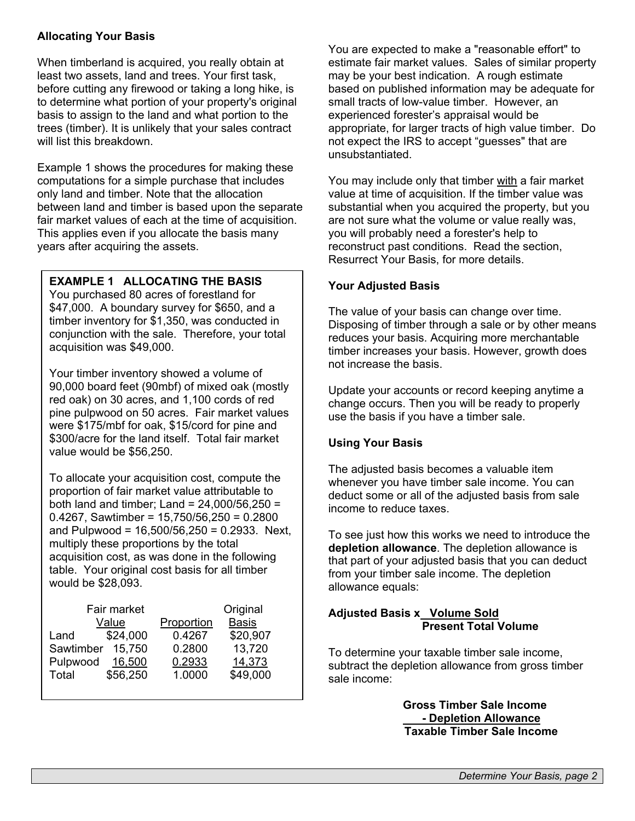#### **Allocating Your Basis**

When timberland is acquired, you really obtain at least two assets, land and trees. Your first task, before cutting any firewood or taking a long hike, is to determine what portion of your property's original basis to assign to the land and what portion to the trees (timber). It is unlikely that your sales contract will list this breakdown.

Example 1 shows the procedures for making these computations for a simple purchase that includes only land and timber. Note that the allocation between land and timber is based upon the separate fair market values of each at the time of acquisition. This applies even if you allocate the basis many years after acquiring the assets.

### **EXAMPLE 1 ALLOCATING THE BASIS**

You purchased 80 acres of forestland for \$47,000. A boundary survey for \$650, and a timber inventory for \$1,350, was conducted in conjunction with the sale. Therefore, your total acquisition was \$49,000.

Your timber inventory showed a volume of 90,000 board feet (90mbf) of mixed oak (mostly red oak) on 30 acres, and 1,100 cords of red pine pulpwood on 50 acres. Fair market values were \$175/mbf for oak, \$15/cord for pine and \$300/acre for the land itself. Total fair market value would be \$56,250.

To allocate your acquisition cost, compute the proportion of fair market value attributable to both land and timber; Land = 24,000/56,250 = 0.4267, Sawtimber =  $15,750/56,250 = 0.2800$ and Pulpwood = 16,500/56,250 = 0.2933. Next, multiply these proportions by the total acquisition cost, as was done in the following table. Your original cost basis for all timber would be \$28,093.

| Fair market |          |            | Original     |
|-------------|----------|------------|--------------|
| Value       |          | Proportion | <b>Basis</b> |
| Land        | \$24,000 | 0.4267     | \$20,907     |
| Sawtimber   | 15,750   | 0.2800     | 13,720       |
| Pulpwood    | 16,500   | 0.2933     | 14,373       |
| Total       | \$56,250 | 1.0000     | \$49,000     |
|             |          |            |              |

You are expected to make a "reasonable effort" to estimate fair market values. Sales of similar property may be your best indication. A rough estimate based on published information may be adequate for small tracts of low-value timber. However, an experienced forester's appraisal would be appropriate, for larger tracts of high value timber. Do not expect the IRS to accept "guesses" that are unsubstantiated.

You may include only that timber with a fair market value at time of acquisition. If the timber value was substantial when you acquired the property, but you are not sure what the volume or value really was, you will probably need a forester's help to reconstruct past conditions. Read the section, Resurrect Your Basis, for more details.

#### **Your Adjusted Basis**

The value of your basis can change over time. Disposing of timber through a sale or by other means reduces your basis. Acquiring more merchantable timber increases your basis. However, growth does not increase the basis.

Update your accounts or record keeping anytime a change occurs. Then you will be ready to properly use the basis if you have a timber sale.

### **Using Your Basis**

The adjusted basis becomes a valuable item whenever you have timber sale income. You can deduct some or all of the adjusted basis from sale income to reduce taxes.

To see just how this works we need to introduce the **depletion allowance**. The depletion allowance is that part of your adjusted basis that you can deduct from your timber sale income. The depletion allowance equals:

#### **Adjusted Basis x Volume Sold Present Total Volume**

To determine your taxable timber sale income, subtract the depletion allowance from gross timber sale income:

> **Gross Timber Sale Income - Depletion Allowance Taxable Timber Sale Income**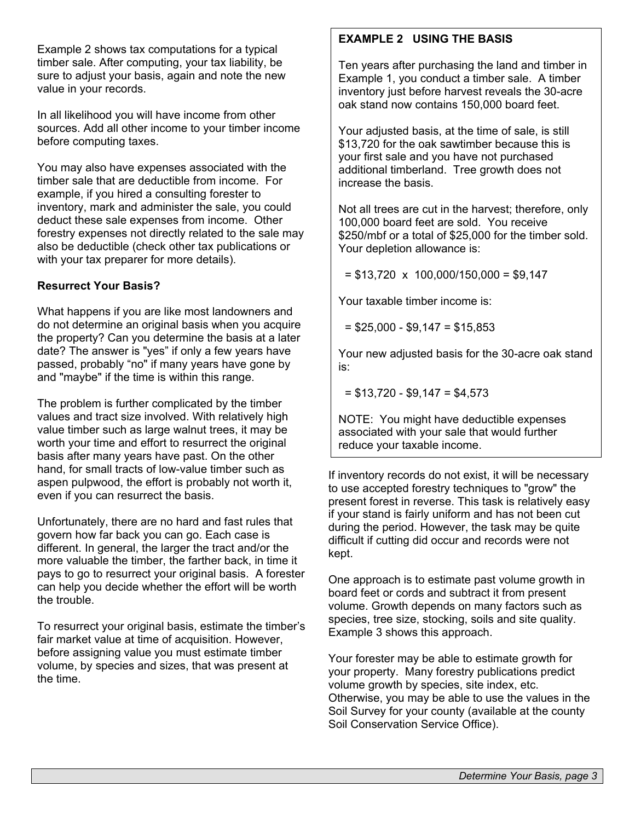Example 2 shows tax computations for a typical timber sale. After computing, your tax liability, be sure to adjust your basis, again and note the new value in your records.

In all likelihood you will have income from other sources. Add all other income to your timber income before computing taxes.

You may also have expenses associated with the timber sale that are deductible from income. For example, if you hired a consulting forester to inventory, mark and administer the sale, you could deduct these sale expenses from income. Other forestry expenses not directly related to the sale may also be deductible (check other tax publications or with your tax preparer for more details).

### **Resurrect Your Basis?**

What happens if you are like most landowners and do not determine an original basis when you acquire the property? Can you determine the basis at a later date? The answer is "yes" if only a few years have passed, probably "no" if many years have gone by and "maybe" if the time is within this range.

The problem is further complicated by the timber values and tract size involved. With relatively high value timber such as large walnut trees, it may be worth your time and effort to resurrect the original basis after many years have past. On the other hand, for small tracts of low-value timber such as aspen pulpwood, the effort is probably not worth it, even if you can resurrect the basis.

Unfortunately, there are no hard and fast rules that govern how far back you can go. Each case is different. In general, the larger the tract and/or the more valuable the timber, the farther back, in time it pays to go to resurrect your original basis. A forester can help you decide whether the effort will be worth the trouble.

To resurrect your original basis, estimate the timber's fair market value at time of acquisition. However, before assigning value you must estimate timber volume, by species and sizes, that was present at the time.

## **EXAMPLE 2 USING THE BASIS**

Ten years after purchasing the land and timber in Example 1, you conduct a timber sale. A timber inventory just before harvest reveals the 30-acre oak stand now contains 150,000 board feet.

Your adjusted basis, at the time of sale, is still \$13,720 for the oak sawtimber because this is your first sale and you have not purchased additional timberland. Tree growth does not increase the basis.

Not all trees are cut in the harvest; therefore, only 100,000 board feet are sold. You receive \$250/mbf or a total of \$25,000 for the timber sold. Your depletion allowance is:

 $= $13,720 \times 100,000/150,000 = $9,147$ 

Your taxable timber income is:

 $=$  \$25,000 - \$9,147 = \$15,853

Your new adjusted basis for the 30-acre oak stand is:

 $= $13,720 - $9,147 = $4,573$ 

NOTE: You might have deductible expenses associated with your sale that would further reduce your taxable income.

If inventory records do not exist, it will be necessary to use accepted forestry techniques to "grow" the present forest in reverse. This task is relatively easy if your stand is fairly uniform and has not been cut during the period. However, the task may be quite difficult if cutting did occur and records were not kept.

One approach is to estimate past volume growth in board feet or cords and subtract it from present volume. Growth depends on many factors such as species, tree size, stocking, soils and site quality. Example 3 shows this approach.

Your forester may be able to estimate growth for your property. Many forestry publications predict volume growth by species, site index, etc. Otherwise, you may be able to use the values in the Soil Survey for your county (available at the county Soil Conservation Service Office).